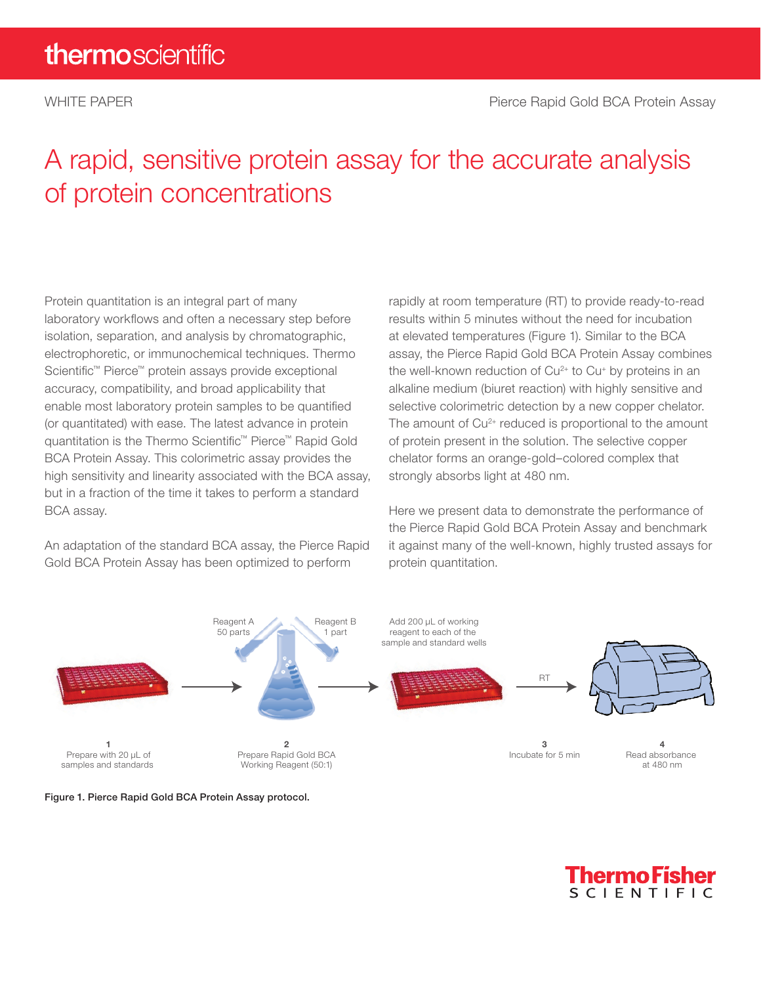## A rapid, sensitive protein assay for the accurate analysis of protein concentrations

Protein quantitation is an integral part of many laboratory workflows and often a necessary step before isolation, separation, and analysis by chromatographic, electrophoretic, or immunochemical techniques. Thermo Scientific™ Pierce™ protein assays provide exceptional accuracy, compatibility, and broad applicability that enable most laboratory protein samples to be quantified (or quantitated) with ease. The latest advance in protein quantitation is the Thermo Scientific™ Pierce™ Rapid Gold BCA Protein Assay. This colorimetric assay provides the high sensitivity and linearity associated with the BCA assay, but in a fraction of the time it takes to perform a standard BCA assay.

An adaptation of the standard BCA assay, the Pierce Rapid Gold BCA Protein Assay has been optimized to perform

rapidly at room temperature (RT) to provide ready-to-read results within 5 minutes without the need for incubation at elevated temperatures (Figure 1). Similar to the BCA assay, the Pierce Rapid Gold BCA Protein Assay combines the well-known reduction of  $Cu<sup>2+</sup>$  to  $Cu<sup>+</sup>$  by proteins in an alkaline medium (biuret reaction) with highly sensitive and selective colorimetric detection by a new copper chelator. The amount of  $Cu<sup>2+</sup>$  reduced is proportional to the amount of protein present in the solution. The selective copper chelator forms an orange-gold–colored complex that strongly absorbs light at 480 nm.

Here we present data to demonstrate the performance of the Pierce Rapid Gold BCA Protein Assay and benchmark it against many of the well-known, highly trusted assays for protein quantitation.





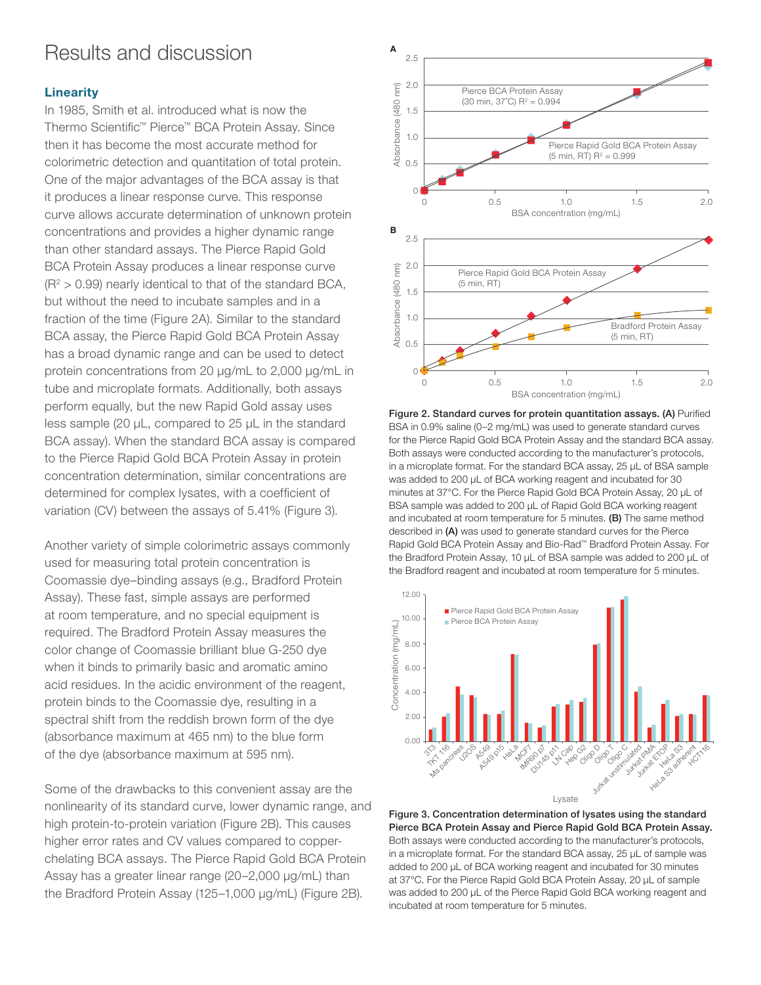### Results and discussion

### **Linearity**

In 1985, Smith et al. introduced what is now the Thermo Scientific™ Pierce™ BCA Protein Assay. Since then it has become the most accurate method for colorimetric detection and quantitation of total protein. One of the major advantages of the BCA assay is that it produces a linear response curve. This response curve allows accurate determination of unknown protein concentrations and provides a higher dynamic range than other standard assays. The Pierce Rapid Gold BCA Protein Assay produces a linear response curve  $(R<sup>2</sup> > 0.99)$  nearly identical to that of the standard BCA, but without the need to incubate samples and in a fraction of the time (Figure 2A). Similar to the standard BCA assay, the Pierce Rapid Gold BCA Protein Assay has a broad dynamic range and can be used to detect protein concentrations from 20 µg/mL to 2,000 µg/mL in tube and microplate formats. Additionally, both assays perform equally, but the new Rapid Gold assay uses less sample (20 µL, compared to 25 µL in the standard BCA assay). When the standard BCA assay is compared to the Pierce Rapid Gold BCA Protein Assay in protein concentration determination, similar concentrations are determined for complex lysates, with a coefficient of variation (CV) between the assays of 5.41% (Figure 3).

Another variety of simple colorimetric assays commonly used for measuring total protein concentration is Coomassie dye–binding assays (e.g., Bradford Protein Assay). These fast, simple assays are performed at room temperature, and no special equipment is required. The Bradford Protein Assay measures the color change of Coomassie brilliant blue G-250 dye when it binds to primarily basic and aromatic amino acid residues. In the acidic environment of the reagent, protein binds to the Coomassie dye, resulting in a spectral shift from the reddish brown form of the dye (absorbance maximum at 465 nm) to the blue form of the dye (absorbance maximum at 595 nm).

Some of the drawbacks to this convenient assay are the nonlinearity of its standard curve, lower dynamic range, and high protein-to-protein variation (Figure 2B). This causes higher error rates and CV values compared to copperchelating BCA assays. The Pierce Rapid Gold BCA Protein Assay has a greater linear range (20–2,000 μg/mL) than the Bradford Protein Assay (125–1,000 μg/mL) (Figure 2B).



Figure 2. Standard curves for protein quantitation assays. (A) Purified BSA in 0.9% saline (0–2 mg/mL) was used to generate standard curves for the Pierce Rapid Gold BCA Protein Assay and the standard BCA assay. Both assays were conducted according to the manufacturer's protocols, in a microplate format. For the standard BCA assay, 25 µL of BSA sample was added to 200 µL of BCA working reagent and incubated for 30 minutes at 37°C. For the Pierce Rapid Gold BCA Protein Assay, 20 µL of BSA sample was added to 200 µL of Rapid Gold BCA working reagent and incubated at room temperature for 5 minutes. (B) The same method described in (A) was used to generate standard curves for the Pierce Rapid Gold BCA Protein Assay and Bio-Rad™ Bradford Protein Assay. For the Bradford Protein Assay, 10 µL of BSA sample was added to 200 µL of the Bradford reagent and incubated at room temperature for 5 minutes.



Figure 3. Concentration determination of lysates using the standard Pierce BCA Protein Assay and Pierce Rapid Gold BCA Protein Assay. Both assays were conducted according to the manufacturer's protocols, in a microplate format. For the standard BCA assay, 25 µL of sample was added to 200 µL of BCA working reagent and incubated for 30 minutes at 37°C. For the Pierce Rapid Gold BCA Protein Assay, 20 µL of sample was added to 200 µL of the Pierce Rapid Gold BCA working reagent and incubated at room temperature for 5 minutes.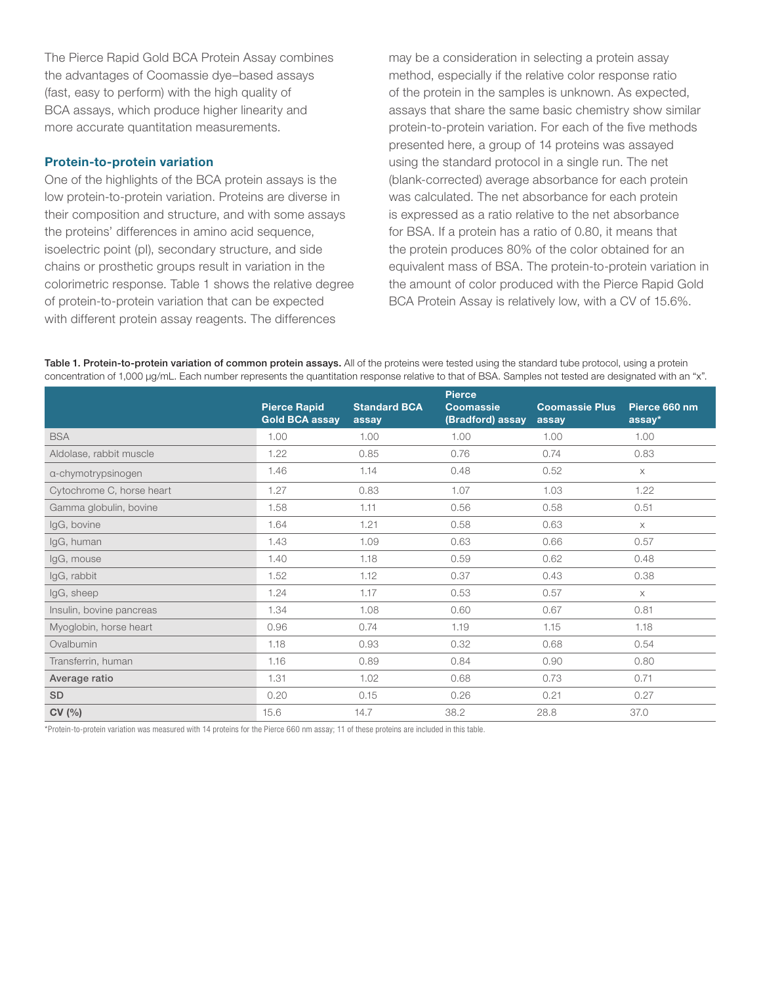The Pierce Rapid Gold BCA Protein Assay combines the advantages of Coomassie dye–based assays (fast, easy to perform) with the high quality of BCA assays, which produce higher linearity and more accurate quantitation measurements.

### Protein-to-protein variation

One of the highlights of the BCA protein assays is the low protein-to-protein variation. Proteins are diverse in their composition and structure, and with some assays the proteins' differences in amino acid sequence, isoelectric point (pI), secondary structure, and side chains or prosthetic groups result in variation in the colorimetric response. Table 1 shows the relative degree of protein-to-protein variation that can be expected with different protein assay reagents. The differences

may be a consideration in selecting a protein assay method, especially if the relative color response ratio of the protein in the samples is unknown. As expected, assays that share the same basic chemistry show similar protein-to-protein variation. For each of the five methods presented here, a group of 14 proteins was assayed using the standard protocol in a single run. The net (blank-corrected) average absorbance for each protein was calculated. The net absorbance for each protein is expressed as a ratio relative to the net absorbance for BSA. If a protein has a ratio of 0.80, it means that the protein produces 80% of the color obtained for an equivalent mass of BSA. The protein-to-protein variation in the amount of color produced with the Pierce Rapid Gold BCA Protein Assay is relatively low, with a CV of 15.6%.

Table 1. Protein-to-protein variation of common protein assays. All of the proteins were tested using the standard tube protocol, using a protein concentration of 1,000 µg/mL. Each number represents the quantitation response relative to that of BSA. Samples not tested are designated with an "x".

|                           | <b>Pierce Rapid</b><br><b>Gold BCA assay</b> | <b>Standard BCA</b><br>assay | <b>Pierce</b><br><b>Coomassie</b><br>(Bradford) assay | <b>Coomassie Plus</b><br>assay | Pierce 660 nm<br>assay* |
|---------------------------|----------------------------------------------|------------------------------|-------------------------------------------------------|--------------------------------|-------------------------|
| <b>BSA</b>                | 1.00                                         | 1.00                         | 1.00                                                  | 1.00                           | 1.00                    |
| Aldolase, rabbit muscle   | 1.22                                         | 0.85                         | 0.76                                                  | 0.74                           | 0.83                    |
| a-chymotrypsinogen        | 1.46                                         | 1.14                         | 0.48                                                  | 0.52                           | $\times$                |
| Cytochrome C, horse heart | 1.27                                         | 0.83                         | 1.07                                                  | 1.03                           | 1.22                    |
| Gamma globulin, bovine    | 1.58                                         | 1.11                         | 0.56                                                  | 0.58                           | 0.51                    |
| IgG, bovine               | 1.64                                         | 1.21                         | 0.58                                                  | 0.63                           | $\times$                |
| IgG, human                | 1.43                                         | 1.09                         | 0.63                                                  | 0.66                           | 0.57                    |
| IgG, mouse                | 1.40                                         | 1.18                         | 0.59                                                  | 0.62                           | 0.48                    |
| IgG, rabbit               | 1.52                                         | 1.12                         | 0.37                                                  | 0.43                           | 0.38                    |
| IgG, sheep                | 1.24                                         | 1.17                         | 0.53                                                  | 0.57                           | $\times$                |
| Insulin, bovine pancreas  | 1.34                                         | 1.08                         | 0.60                                                  | 0.67                           | 0.81                    |
| Myoglobin, horse heart    | 0.96                                         | 0.74                         | 1.19                                                  | 1.15                           | 1.18                    |
| Ovalbumin                 | 1.18                                         | 0.93                         | 0.32                                                  | 0.68                           | 0.54                    |
| Transferrin, human        | 1.16                                         | 0.89                         | 0.84                                                  | 0.90                           | 0.80                    |
| Average ratio             | 1.31                                         | 1.02                         | 0.68                                                  | 0.73                           | 0.71                    |
| <b>SD</b>                 | 0.20                                         | 0.15                         | 0.26                                                  | 0.21                           | 0.27                    |
| CV(%)                     | 15.6                                         | 14.7                         | 38.2                                                  | 28.8                           | 37.0                    |

\*Protein-to-protein variation was measured with 14 proteins for the Pierce 660 nm assay; 11 of these proteins are included in this table.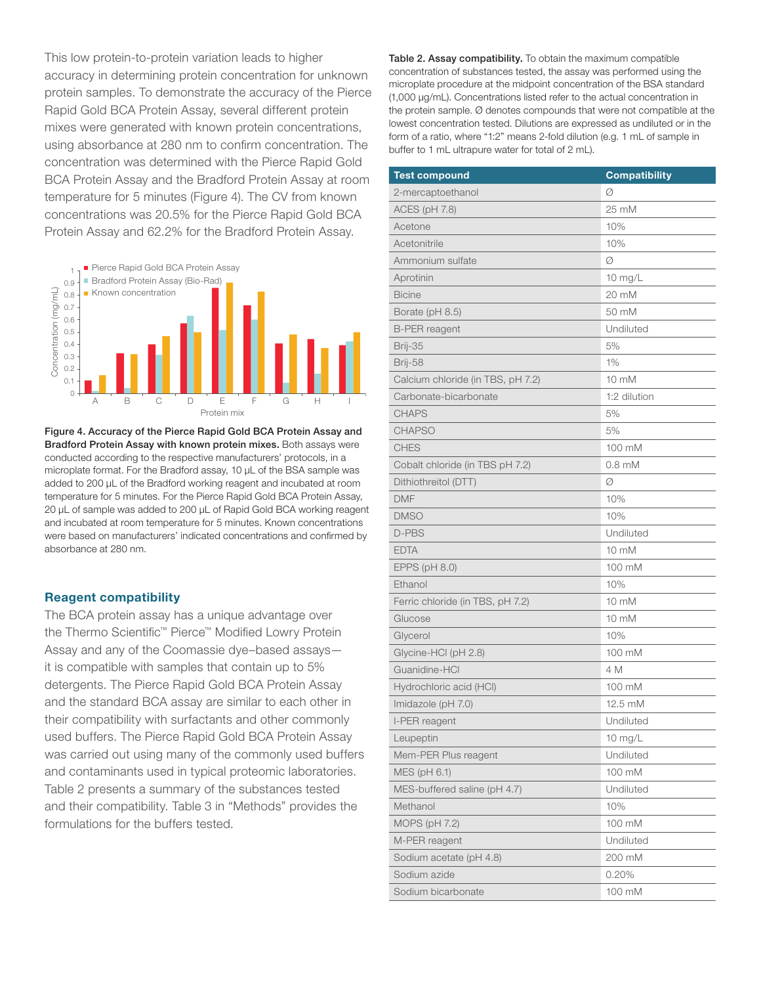This low protein-to-protein variation leads to higher accuracy in determining protein concentration for unknown protein samples. To demonstrate the accuracy of the Pierce Rapid Gold BCA Protein Assay, several different protein mixes were generated with known protein concentrations, using absorbance at 280 nm to confirm concentration. The concentration was determined with the Pierce Rapid Gold BCA Protein Assay and the Bradford Protein Assay at room temperature for 5 minutes (Figure 4). The CV from known concentrations was 20.5% for the Pierce Rapid Gold BCA Protein Assay and 62.2% for the Bradford Protein Assay.



Figure 4. Accuracy of the Pierce Rapid Gold BCA Protein Assay and Bradford Protein Assay with known protein mixes. Both assays were conducted according to the respective manufacturers' protocols, in a microplate format. For the Bradford assay, 10 μL of the BSA sample was added to 200 μL of the Bradford working reagent and incubated at room temperature for 5 minutes. For the Pierce Rapid Gold BCA Protein Assay, 20 μL of sample was added to 200 μL of Rapid Gold BCA working reagent and incubated at room temperature for 5 minutes. Known concentrations were based on manufacturers' indicated concentrations and confirmed by absorbance at 280 nm.

### Reagent compatibility

The BCA protein assay has a unique advantage over the Thermo Scientific™ Pierce™ Modified Lowry Protein Assay and any of the Coomassie dye–based assays it is compatible with samples that contain up to 5% detergents. The Pierce Rapid Gold BCA Protein Assay and the standard BCA assay are similar to each other in their compatibility with surfactants and other commonly used buffers. The Pierce Rapid Gold BCA Protein Assay was carried out using many of the commonly used buffers and contaminants used in typical proteomic laboratories. Table 2 presents a summary of the substances tested and their compatibility. Table 3 in "Methods" provides the formulations for the buffers tested.

Table 2. Assay compatibility. To obtain the maximum compatible concentration of substances tested, the assay was performed using the microplate procedure at the midpoint concentration of the BSA standard (1,000 µg/mL). Concentrations listed refer to the actual concentration in the protein sample. Ø denotes compounds that were not compatible at the lowest concentration tested. Dilutions are expressed as undiluted or in the form of a ratio, where "1:2" means 2-fold dilution (e.g. 1 mL of sample in buffer to 1 mL ultrapure water for total of 2 mL).

| <b>Test compound</b>              | <b>Compatibility</b> |
|-----------------------------------|----------------------|
| 2-mercaptoethanol                 | Ø                    |
| ACES (pH 7.8)                     | 25 mM                |
| Acetone                           | 10%                  |
| Acetonitrile                      | 10%                  |
| Ammonium sulfate                  | Ø                    |
| Aprotinin                         | $10$ mg/L            |
| <b>Bicine</b>                     | 20 mM                |
| Borate (pH 8.5)                   | 50 mM                |
| <b>B-PER</b> reagent              | Undiluted            |
| Brij-35                           | 5%                   |
| Brij-58                           | 1%                   |
| Calcium chloride (in TBS, pH 7.2) | 10 mM                |
| Carbonate-bicarbonate             | 1:2 dilution         |
| <b>CHAPS</b>                      | 5%                   |
| <b>CHAPSO</b>                     | 5%                   |
| <b>CHES</b>                       | 100 mM               |
| Cobalt chloride (in TBS pH 7.2)   | $0.8$ mM             |
| Dithiothreitol (DTT)              | Ø                    |
| <b>DMF</b>                        | 10%                  |
| <b>DMSO</b>                       | 10%                  |
| D-PBS                             | Undiluted            |
| <b>EDTA</b>                       | 10 mM                |
| EPPS $(pH 8.0)$                   | 100 mM               |
| Ethanol                           | 10%                  |
| Ferric chloride (in TBS, pH 7.2)  | 10 mM                |
| Glucose                           | 10 mM                |
| Glycerol                          | 10%                  |
| Glycine-HCl (pH 2.8)              | 100 mM               |
| Guanidine-HCI                     | 4 M                  |
| Hydrochloric acid (HCI)           | 100 mM               |
| Imidazole (pH 7.0)                | 12.5 mM              |
| I-PER reagent                     | Undiluted            |
| Leupeptin                         | $10$ mg/L            |
| Mem-PER Plus reagent              | Undiluted            |
| MES (pH 6.1)                      | 100 mM               |
| MES-buffered saline (pH 4.7)      | Undiluted            |
| Methanol                          | 10%                  |
| <b>MOPS (pH 7.2)</b>              | 100 mM               |
| M-PER reagent                     | Undiluted            |
| Sodium acetate (pH 4.8)           | 200 mM               |
| Sodium azide                      | 0.20%                |
| Sodium bicarbonate                | 100 mM               |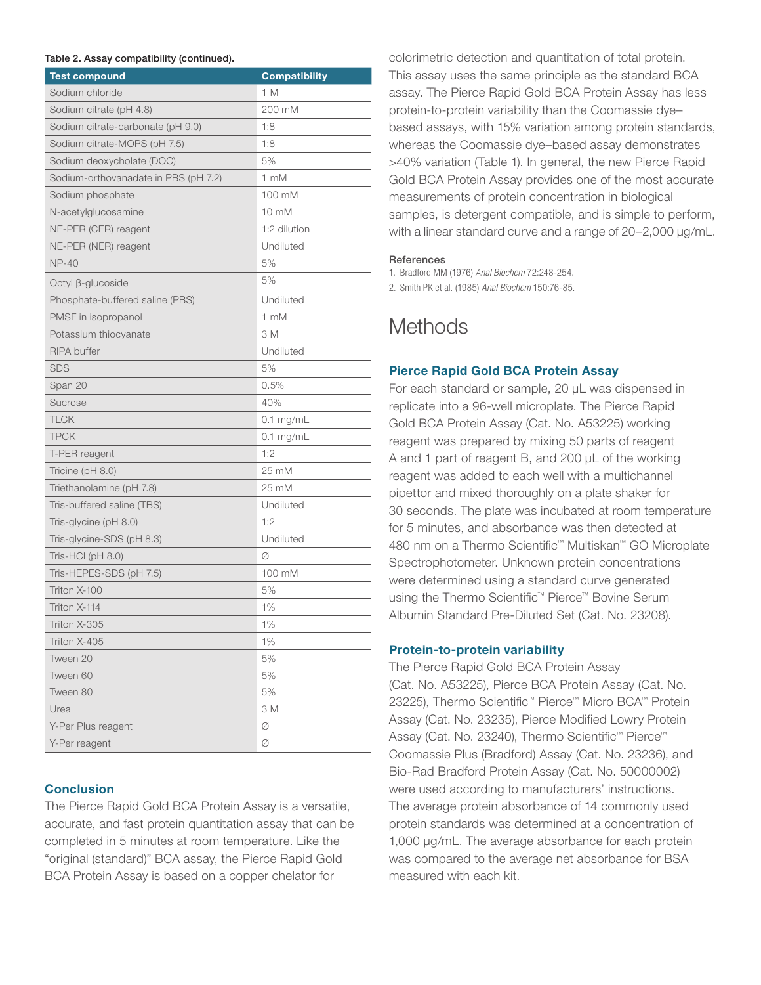#### Table 2. Assay compatibility (continued).

| a, companisme, toommaca,<br><b>Test compound</b> | <b>Compatibility</b> |
|--------------------------------------------------|----------------------|
| Sodium chloride                                  | 1 M                  |
| Sodium citrate (pH 4.8)                          | 200 mM               |
| Sodium citrate-carbonate (pH 9.0)                | 1:8                  |
| Sodium citrate-MOPS (pH 7.5)                     | 1:8                  |
| Sodium deoxycholate (DOC)                        | 5%                   |
| Sodium-orthovanadate in PBS (pH 7.2)             | 1 mM                 |
| Sodium phosphate                                 | 100 mM               |
| N-acetylglucosamine                              | 10 mM                |
| NE-PER (CER) reagent                             | 1:2 dilution         |
| NE-PER (NER) reagent                             | Undiluted            |
| <b>NP-40</b>                                     | 5%                   |
| Octyl ß-glucoside                                | 5%                   |
| Phosphate-buffered saline (PBS)                  | Undiluted            |
| PMSF in isopropanol                              | 1 mM                 |
| Potassium thiocyanate                            | 3 M                  |
| <b>RIPA</b> buffer                               | Undiluted            |
| <b>SDS</b>                                       | 5%                   |
| Span 20                                          | 0.5%                 |
| Sucrose                                          | 40%                  |
| TLCK                                             | $0.1$ mg/mL          |
| <b>TPCK</b>                                      | $0.1$ mg/mL          |
| T-PER reagent                                    | 1:2                  |
| Tricine ( $pH$ 8.0)                              | 25 mM                |
| Triethanolamine (pH 7.8)                         | 25 mM                |
| Tris-buffered saline (TBS)                       | Undiluted            |
| Tris-glycine (pH 8.0)                            | 1:2                  |
| Tris-glycine-SDS (pH 8.3)                        | Undiluted            |
| Tris-HCl (pH 8.0)                                | Ø                    |
| Tris-HEPES-SDS (pH 7.5)                          | 100 mM               |
| Triton X-100                                     | 5%                   |
| Triton X-114                                     | 1%                   |
| Triton X-305                                     | $1\%$                |
| Triton X-405                                     | 1%                   |
| Tween 20                                         | 5%                   |
| Tween 60                                         | 5%                   |
| Tween 80                                         | 5%                   |
| Urea                                             | 3 M                  |
| Y-Per Plus reagent                               | Ø                    |
| Y-Per reagent                                    | Ø                    |

### **Conclusion**

The Pierce Rapid Gold BCA Protein Assay is a versatile, accurate, and fast protein quantitation assay that can be completed in 5 minutes at room temperature. Like the "original (standard)" BCA assay, the Pierce Rapid Gold BCA Protein Assay is based on a copper chelator for

colorimetric detection and quantitation of total protein. This assay uses the same principle as the standard BCA assay. The Pierce Rapid Gold BCA Protein Assay has less protein-to-protein variability than the Coomassie dye– based assays, with 15% variation among protein standards, whereas the Coomassie dye–based assay demonstrates >40% variation (Table 1). In general, the new Pierce Rapid Gold BCA Protein Assay provides one of the most accurate measurements of protein concentration in biological samples, is detergent compatible, and is simple to perform, with a linear standard curve and a range of 20–2,000 μg/mL.

#### References

1. Bradford MM (1976) *Anal Biochem* 72:248-254.

2. Smith PK et al. (1985) *Anal Biochem* 150:76-85.

### **Methods**

### Pierce Rapid Gold BCA Protein Assay

For each standard or sample, 20 µL was dispensed in replicate into a 96-well microplate. The Pierce Rapid Gold BCA Protein Assay (Cat. No. A53225) working reagent was prepared by mixing 50 parts of reagent A and 1 part of reagent B, and 200 μL of the working reagent was added to each well with a multichannel pipettor and mixed thoroughly on a plate shaker for 30 seconds. The plate was incubated at room temperature for 5 minutes, and absorbance was then detected at 480 nm on a Thermo Scientific™ Multiskan™ GO Microplate Spectrophotometer. Unknown protein concentrations were determined using a standard curve generated using the Thermo Scientific™ Pierce™ Bovine Serum Albumin Standard Pre-Diluted Set (Cat. No. 23208).

### Protein-to-protein variability

The Pierce Rapid Gold BCA Protein Assay (Cat. No. A53225), Pierce BCA Protein Assay (Cat. No. 23225), Thermo Scientific™ Pierce™ Micro BCA™ Protein Assay (Cat. No. 23235), Pierce Modified Lowry Protein Assay (Cat. No. 23240), Thermo Scientific™ Pierce™ Coomassie Plus (Bradford) Assay (Cat. No. 23236), and Bio-Rad Bradford Protein Assay (Cat. No. 50000002) were used according to manufacturers' instructions. The average protein absorbance of 14 commonly used protein standards was determined at a concentration of 1,000 µg/mL. The average absorbance for each protein was compared to the average net absorbance for BSA measured with each kit.